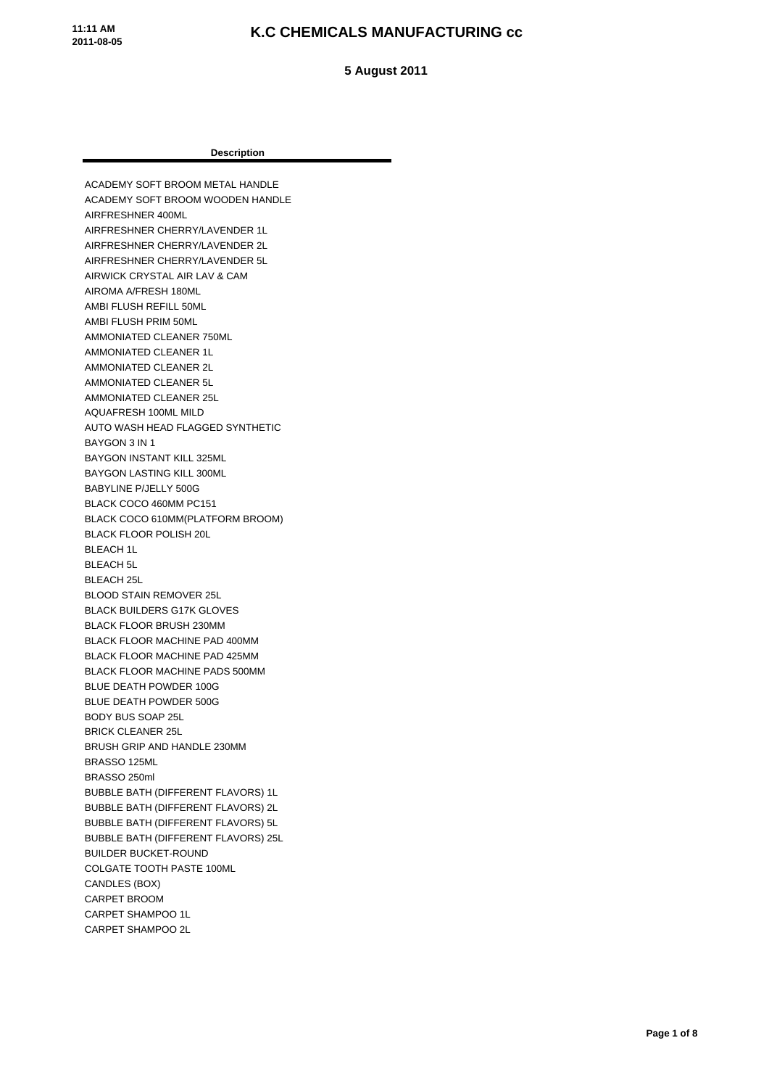**11:11 AM 2011-08-05**

#### **K.C CHEMICALS MANUFACTURING cc**

 **5 August 2011**

#### **Description**

ACADEMY SOFT BROOM METAL HANDLE ACADEMY SOFT BROOM WOODEN HANDLE AIRFRESHNER 400ML AIRFRESHNER CHERRY/LAVENDER 1L AIRFRESHNER CHERRY/LAVENDER 2L AIRFRESHNER CHERRY/LAVENDER 5L AIRWICK CRYSTAL AIR LAV & CAM AIROMA A/FRESH 180ML AMBI FLUSH REFILL 50ML AMBI FLUSH PRIM 50ML AMMONIATED CLEANER 750ML AMMONIATED CLEANER 1L AMMONIATED CLEANER 2L AMMONIATED CLEANER 5L AMMONIATED CLEANER 25L AQUAFRESH 100ML MILD AUTO WASH HEAD FLAGGED SYNTHETIC BAYGON 3 IN 1 BAYGON INSTANT KILL 325ML BAYGON LASTING KILL 300ML BABYLINE P/JELLY 500G BLACK COCO 460MM PC151 BLACK COCO 610MM(PLATFORM BROOM) BLACK FLOOR POLISH 20L BLEACH 1L BLEACH 5L BLEACH 25L BLOOD STAIN REMOVER 25L BLACK BUILDERS G17K GLOVES BLACK FLOOR BRUSH 230MM BLACK FLOOR MACHINE PAD 400MM BLACK FLOOR MACHINE PAD 425MM BLACK FLOOR MACHINE PADS 500MM BLUE DEATH POWDER 100G BLUE DEATH POWDER 500G BODY BUS SOAP 25L BRICK CLEANER 25L BRUSH GRIP AND HANDLE 230MM BRASSO 125ML BRASSO 250ml BUBBLE BATH (DIFFERENT FLAVORS) 1L BUBBLE BATH (DIFFERENT FLAVORS) 2L BUBBLE BATH (DIFFERENT FLAVORS) 5L BUBBLE BATH (DIFFERENT FLAVORS) 25L BUILDER BUCKET-ROUND COLGATE TOOTH PASTE 100ML CANDLES (BOX) CARPET BROOM CARPET SHAMPOO 1L CARPET SHAMPOO 2L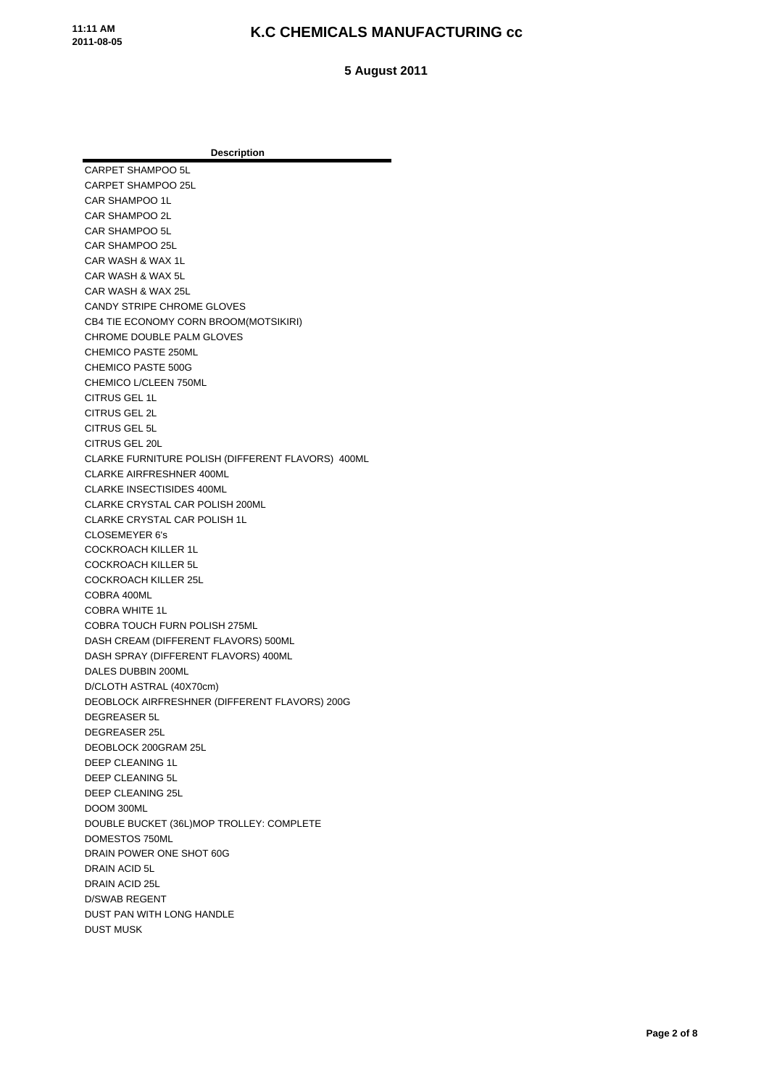**5 August 2011**

**Description** CARPET SHAMPOO 5L CARPET SHAMPOO 25L CAR SHAMPOO 1L CAR SHAMPOO 2L CAR SHAMPOO 5L CAR SHAMPOO 25L CAR WASH & WAX 1L CAR WASH & WAX 5L CAR WASH & WAX 25L CANDY STRIPE CHROME GLOVES CB4 TIE ECONOMY CORN BROOM(MOTSIKIRI) CHROME DOUBLE PALM GLOVES CHEMICO PASTE 250ML CHEMICO PASTE 500G CHEMICO L/CLEEN 750ML CITRUS GEL 1L CITRUS GEL 2L CITRUS GEL 5L CITRUS GEL 20L CLARKE FURNITURE POLISH (DIFFERENT FLAVORS) 400ML CLARKE AIRFRESHNER 400ML CLARKE INSECTISIDES 400ML CLARKE CRYSTAL CAR POLISH 200ML CLARKE CRYSTAL CAR POLISH 1L CLOSEMEYER 6's COCKROACH KILLER 1L COCKROACH KILLER 5L COCKROACH KILLER 25L COBRA 400ML COBRA WHITE 1L COBRA TOUCH FURN POLISH 275ML DASH CREAM (DIFFERENT FLAVORS) 500ML DASH SPRAY (DIFFERENT FLAVORS) 400ML DALES DUBBIN 200ML D/CLOTH ASTRAL (40X70cm) DEOBLOCK AIRFRESHNER (DIFFERENT FLAVORS) 200G DEGREASER 5L DEGREASER 25L DEOBLOCK 200GRAM 25L DEEP CLEANING 1L DEEP CLEANING 5L DEEP CLEANING 25L DOOM 300ML DOUBLE BUCKET (36L)MOP TROLLEY: COMPLETE DOMESTOS 750ML DRAIN POWER ONE SHOT 60G DRAIN ACID 5L DRAIN ACID 25L D/SWAB REGENT DUST PAN WITH LONG HANDLE DUST MUSK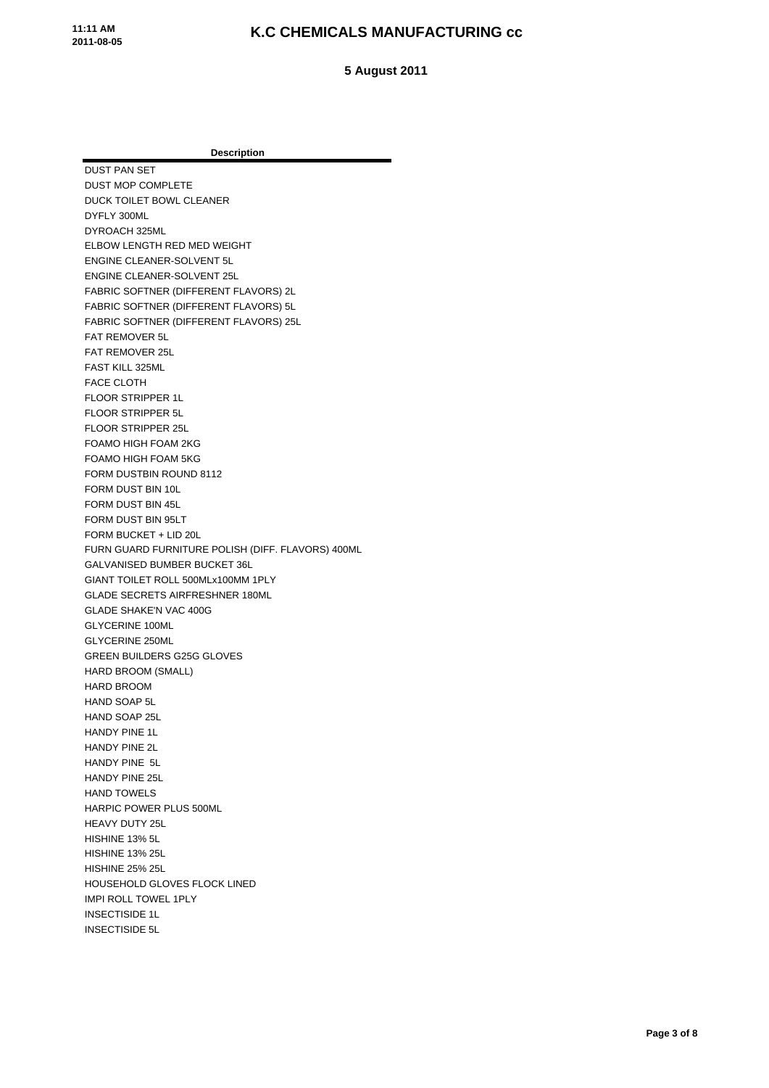**5 August 2011**

**Description** DUST PAN SET DUST MOP COMPLETE DUCK TOILET BOWL CLEANER DYFLY 300ML DYROACH 325ML ELBOW LENGTH RED MED WEIGHT ENGINE CLEANER-SOLVENT 5L ENGINE CLEANER-SOLVENT 25L FABRIC SOFTNER (DIFFERENT FLAVORS) 2L FABRIC SOFTNER (DIFFERENT FLAVORS) 5L FABRIC SOFTNER (DIFFERENT FLAVORS) 25L FAT REMOVER 5L FAT REMOVER 25L FAST KILL 325ML FACE CLOTH FLOOR STRIPPER 1L FLOOR STRIPPER 5L FLOOR STRIPPER 25L FOAMO HIGH FOAM 2KG FOAMO HIGH FOAM 5KG FORM DUSTBIN ROUND 8112 FORM DUST BIN 10L FORM DUST BIN 45L FORM DUST BIN 95LT FORM BUCKET + LID 20L FURN GUARD FURNITURE POLISH (DIFF. FLAVORS) 400ML GALVANISED BUMBER BUCKET 36L GIANT TOILET ROLL 500MLx100MM 1PLY GLADE SECRETS AIRFRESHNER 180ML GLADE SHAKE'N VAC 400G GLYCERINE 100ML GLYCERINE 250ML GREEN BUILDERS G25G GLOVES HARD BROOM (SMALL) HARD BROOM HAND SOAP 5L HAND SOAP 25L HANDY PINE 1L HANDY PINE 2L HANDY PINE 5L HANDY PINE 25L HAND TOWELS HARPIC POWER PLUS 500ML HEAVY DUTY 25L HISHINE 13% 5L HISHINE 13% 25L HISHINE 25% 25L HOUSEHOLD GLOVES FLOCK LINED IMPI ROLL TOWEL 1PLY INSECTISIDE 1L INSECTISIDE 5L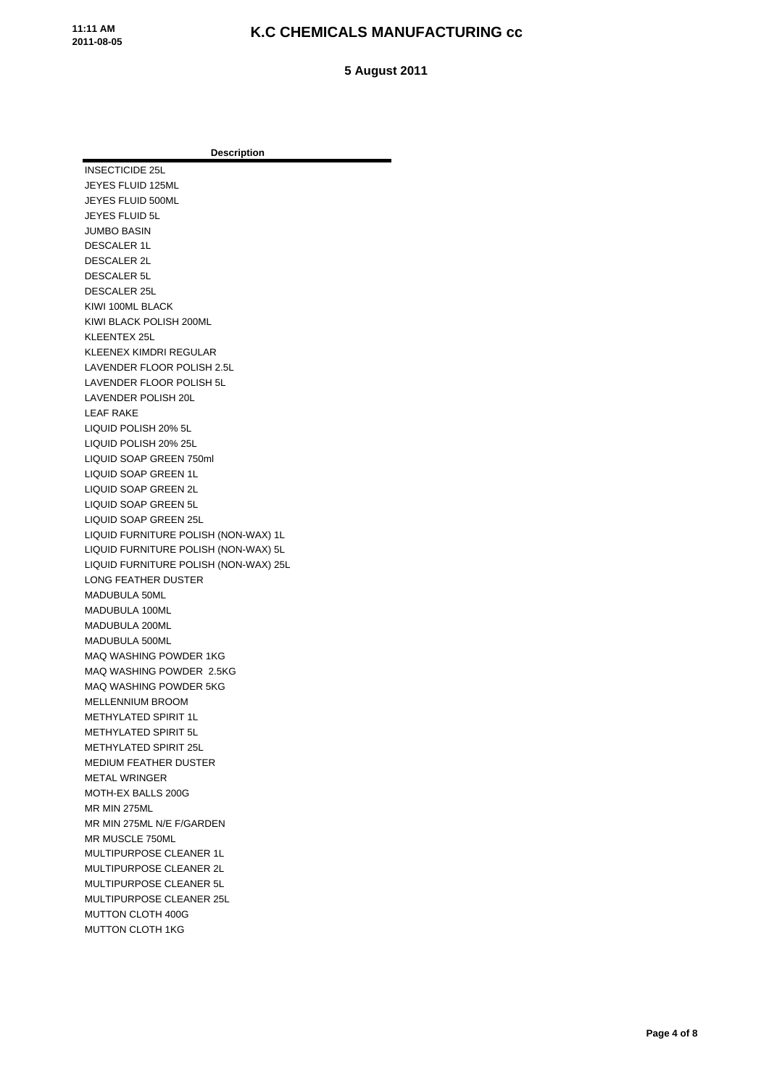**5 August 2011**

**Description** INSECTICIDE 25L JEYES FLUID 125ML JEYES FLUID 500ML JEYES FLUID 5L JUMBO BASIN DESCALER 1L DESCALER 2L DESCALER 5L DESCALER 25L KIWI 100ML BLACK KIWI BLACK POLISH 200ML KLEENTEX 25L KLEENEX KIMDRI REGULAR LAVENDER FLOOR POLISH 2.5L LAVENDER FLOOR POLISH 5L LAVENDER POLISH 20L LEAF RAKE LIQUID POLISH 20% 5L LIQUID POLISH 20% 25L LIQUID SOAP GREEN 750ml LIQUID SOAP GREEN 1L LIQUID SOAP GREEN 2L LIQUID SOAP GREEN 5L LIQUID SOAP GREEN 25L LIQUID FURNITURE POLISH (NON-WAX) 1L LIQUID FURNITURE POLISH (NON-WAX) 5L LIQUID FURNITURE POLISH (NON-WAX) 25L LONG FEATHER DUSTER MADUBULA 50ML MADUBULA 100ML MADUBULA 200ML MADUBULA 500ML MAQ WASHING POWDER 1KG MAQ WASHING POWDER 2.5KG MAQ WASHING POWDER 5KG MELLENNIUM BROOM METHYLATED SPIRIT 1L METHYLATED SPIRIT 5L METHYLATED SPIRIT 25L MEDIUM FEATHER DUSTER METAL WRINGER MOTH-EX BALLS 200G MR MIN 275ML MR MIN 275ML N/E F/GARDEN MR MUSCLE 750ML MULTIPURPOSE CLEANER 1L MULTIPURPOSE CLEANER 2L MULTIPURPOSE CLEANER 5L MULTIPURPOSE CLEANER 25L MUTTON CLOTH 400G MUTTON CLOTH 1KG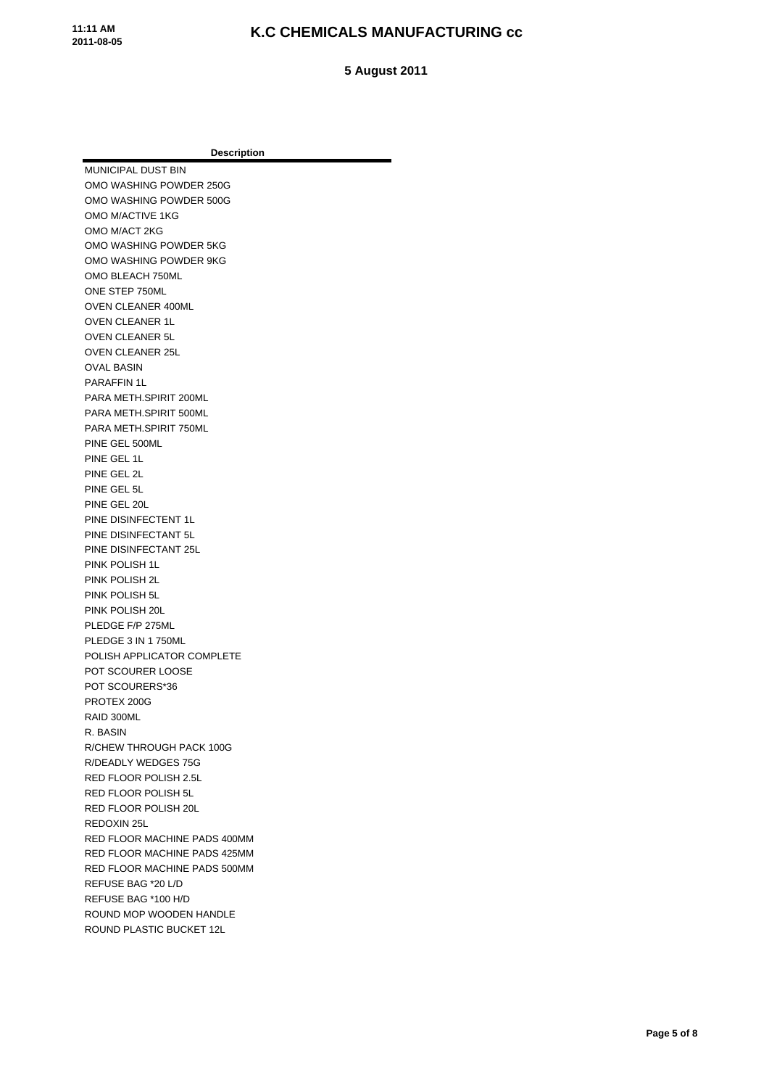**5 August 2011**

**Description** MUNICIPAL DUST BIN OMO WASHING POWDER 250G OMO WASHING POWDER 500G OMO M/ACTIVE 1KG OMO M/ACT 2KG OMO WASHING POWDER 5KG OMO WASHING POWDER 9KG OMO BLEACH 750ML ONE STEP 750ML OVEN CLEANER 400ML OVEN CLEANER 1L OVEN CLEANER 5L OVEN CLEANER 25L OVAL BASIN PARAFFIN 1L PARA METH.SPIRIT 200ML PARA METH.SPIRIT 500ML PARA METH.SPIRIT 750ML PINE GEL 500ML PINE GEL 1L PINE GEL 2L PINE GEL 5L PINE GEL 20L PINE DISINFECTENT 1L PINE DISINFECTANT 5L PINE DISINFECTANT 25L PINK POLISH 1L PINK POLISH 2L PINK POLISH 5L PINK POLISH 20L PLEDGE F/P 275ML PLEDGE 3 IN 1 750ML POLISH APPLICATOR COMPLETE POT SCOURER LOOSE POT SCOURERS\*36 PROTEX 200G RAID 300ML R. BASIN R/CHEW THROUGH PACK 100G R/DEADLY WEDGES 75G RED FLOOR POLISH 2.5L RED FLOOR POLISH 5L RED FLOOR POLISH 20L REDOXIN 25L RED FLOOR MACHINE PADS 400MM RED FLOOR MACHINE PADS 425MM RED FLOOR MACHINE PADS 500MM REFUSE BAG \*20 L/D REFUSE BAG \*100 H/D ROUND MOP WOODEN HANDLE ROUND PLASTIC BUCKET 12L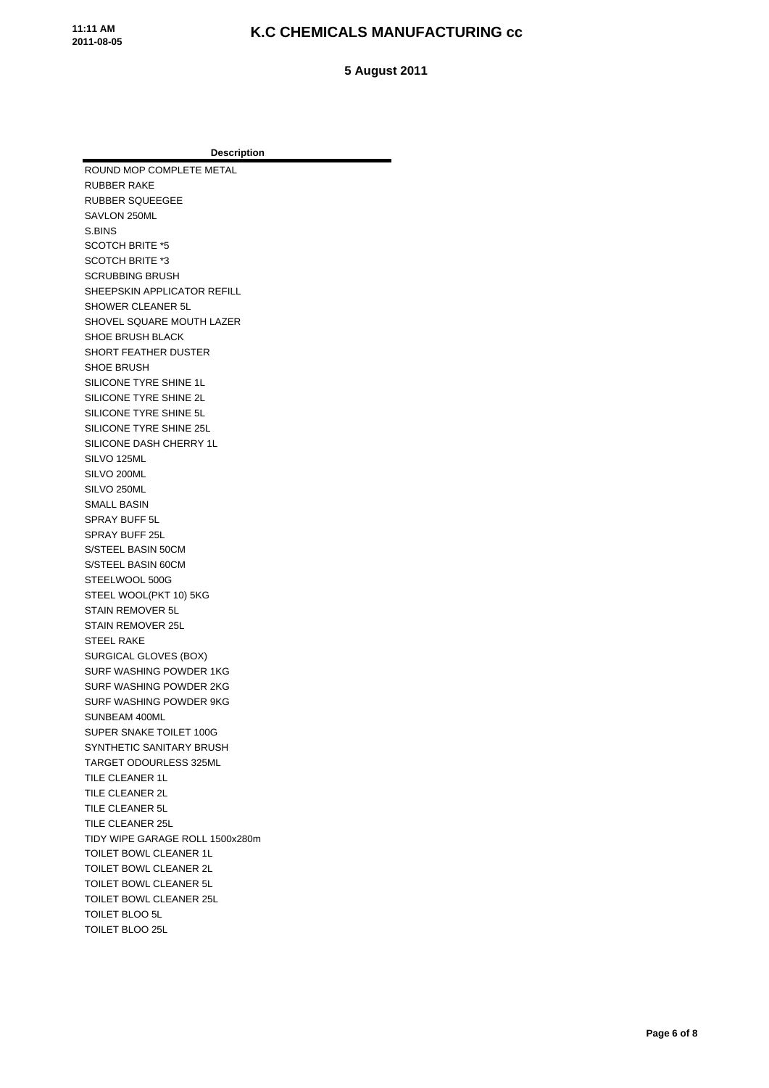**5 August 2011**

**Description** ROUND MOP COMPLETE METAL RUBBER RAKE RUBBER SQUEEGEE SAVLON 250ML S.BINS SCOTCH BRITE \*5 SCOTCH BRITE \*3 SCRUBBING BRUSH SHEEPSKIN APPLICATOR REFILL SHOWER CLEANER 5L SHOVEL SQUARE MOUTH LAZER SHOE BRUSH BLACK SHORT FEATHER DUSTER SHOE BRUSH SILICONE TYRE SHINE 1L SILICONE TYRE SHINE 2L SILICONE TYRE SHINE 5L SILICONE TYRE SHINE 25L SILICONE DASH CHERRY 1L SILVO 125ML SILVO 200ML SILVO 250ML SMALL BASIN SPRAY BUFF 5L SPRAY BUFF 25L S/STEEL BASIN 50CM S/STEEL BASIN 60CM STEELWOOL 500G STEEL WOOL(PKT 10) 5KG STAIN REMOVER 5L STAIN REMOVER 25L STEEL RAKE SURGICAL GLOVES (BOX) SURF WASHING POWDER 1KG SURF WASHING POWDER 2KG SURF WASHING POWDER 9KG SUNBEAM 400ML SUPER SNAKE TOILET 100G SYNTHETIC SANITARY BRUSH TARGET ODOURLESS 325ML TILE CLEANER 1L TILE CLEANER 2L TILE CLEANER 5L TILE CLEANER 25L TIDY WIPE GARAGE ROLL 1500x280m TOILET BOWL CLEANER 1L TOILET BOWL CLEANER 2L TOILET BOWL CLEANER 5L TOILET BOWL CLEANER 25L TOILET BLOO 5L TOILET BLOO 25L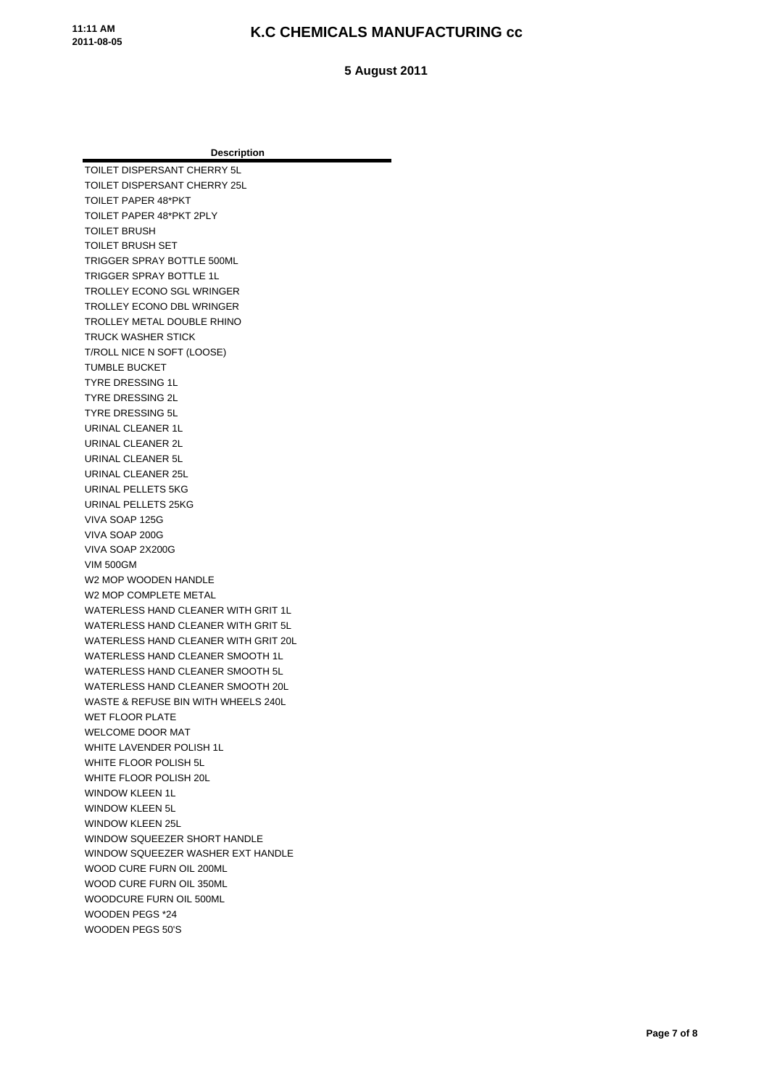**5 August 2011**

| Description                          |
|--------------------------------------|
| TOILET DISPERSANT CHERRY 5L          |
| TOILET DISPERSANT CHERRY 25L         |
| TOILET PAPER 48*PKT                  |
| TOILET PAPER 48*PKT 2PLY             |
| <b>TOILET BRUSH</b>                  |
| <b>TOILET BRUSH SET</b>              |
| TRIGGER SPRAY BOTTLE 500ML           |
| <b>TRIGGER SPRAY BOTTLE 1L</b>       |
| TROLLEY ECONO SGL WRINGER            |
| TROLLEY ECONO DBL WRINGER            |
| TROLLEY METAL DOUBLE RHINO           |
| <b>TRUCK WASHER STICK</b>            |
| T/ROLL NICE N SOFT (LOOSE)           |
| <b>TUMBLE BUCKET</b>                 |
| <b>TYRE DRESSING 1L</b>              |
| <b>TYRE DRESSING 2L</b>              |
| <b>TYRE DRESSING 5L</b>              |
| <b>URINAL CLEANER 1L</b>             |
| URINAL CLEANER 2L                    |
| URINAL CLEANER 5L                    |
| URINAL CLEANER 25L                   |
| URINAL PELLETS 5KG                   |
| URINAL PELLETS 25KG                  |
| VIVA SOAP 125G                       |
| VIVA SOAP 200G                       |
| VIVA SOAP 2X200G                     |
| <b>VIM 500GM</b>                     |
| W2 MOP WOODEN HANDLE                 |
| W2 MOP COMPLETE METAL                |
| WATERLESS HAND CLEANER WITH GRIT 1L  |
| WATERLESS HAND CLEANER WITH GRIT 5L  |
| WATERLESS HAND CLEANER WITH GRIT 20L |
| WATERLESS HAND CLEANER SMOOTH 1L     |
| WATERLESS HAND CLEANER SMOOTH 5L     |
| WATERLESS HAND CLEANER SMOOTH 20L    |
| WASTE & REFUSE BIN WITH WHEELS 240L  |
| <b>WET FLOOR PLATE</b>               |
| <b>WELCOME DOOR MAT</b>              |
| WHITE LAVENDER POLISH 1L             |
| WHITE FLOOR POLISH 5L                |
| WHITE FLOOR POLISH 20L               |
| <b>WINDOW KLEEN 1L</b>               |
| <b>WINDOW KLEEN 5L</b>               |
| <b>WINDOW KLEEN 25L</b>              |
| <b>WINDOW SQUEEZER SHORT HANDLE</b>  |
| WINDOW SQUEEZER WASHER EXT HANDLE    |
| WOOD CURE FURN OIL 200ML             |
| WOOD CURE FURN OIL 350ML             |
| WOODCURE FURN OIL 500ML              |
| <b>WOODEN PEGS *24</b>               |
| WOODEN PEGS 50'S                     |
|                                      |